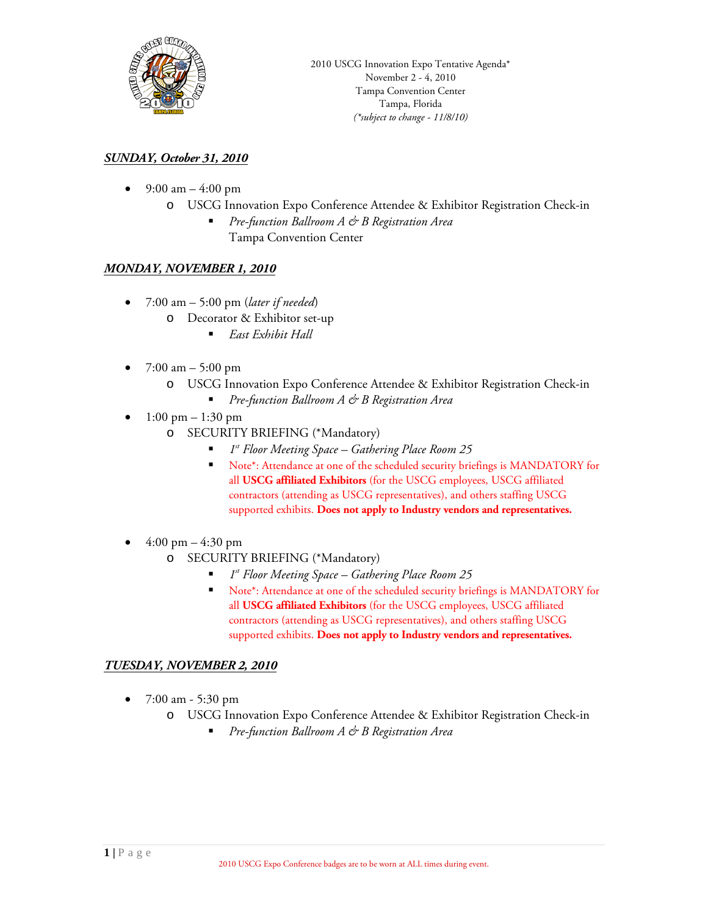

# *SUNDAY, October 31, 2010*

- 9:00 am  $-4:00 \text{ pm}$ 
	- o USCG Innovation Expo Conference Attendee & Exhibitor Registration Check-in
		- *Pre-function Ballroom A & B Registration Area* Tampa Convention Center

#### *MONDAY, NOVEMBER 1, 2010*

- 7:00 am 5:00 pm (*later if needed*)
	- o Decorator & Exhibitor set-up
		- *East Exhibit Hall*
- $7:00 \text{ am} 5:00 \text{ pm}$ 
	- o USCG Innovation Expo Conference Attendee & Exhibitor Registration Check-in
		- *Pre-function Ballroom A & B Registration Area*
- 1:00 pm  $1:30$  pm
	- o SECURITY BRIEFING (\*Mandatory)
		- *1st Floor Meeting Space – Gathering Place Room 25*
		- Note\*: Attendance at one of the scheduled security briefings is MANDATORY for all **USCG affiliated Exhibitors** (for the USCG employees, USCG affiliated contractors (attending as USCG representatives), and others staffing USCG supported exhibits. **Does not apply to Industry vendors and representatives.**
- $4:00 \text{ pm} 4:30 \text{ pm}$ 
	- o SECURITY BRIEFING (\*Mandatory)
		- *1st Floor Meeting Space – Gathering Place Room 25*
		- Note\*: Attendance at one of the scheduled security briefings is MANDATORY for all **USCG affiliated Exhibitors** (for the USCG employees, USCG affiliated contractors (attending as USCG representatives), and others staffing USCG supported exhibits. **Does not apply to Industry vendors and representatives.**

# *TUESDAY, NOVEMBER 2, 2010*

- 7:00 am 5:30 pm
	- o USCG Innovation Expo Conference Attendee & Exhibitor Registration Check-in
		- *Pre-function Ballroom A & B Registration Area*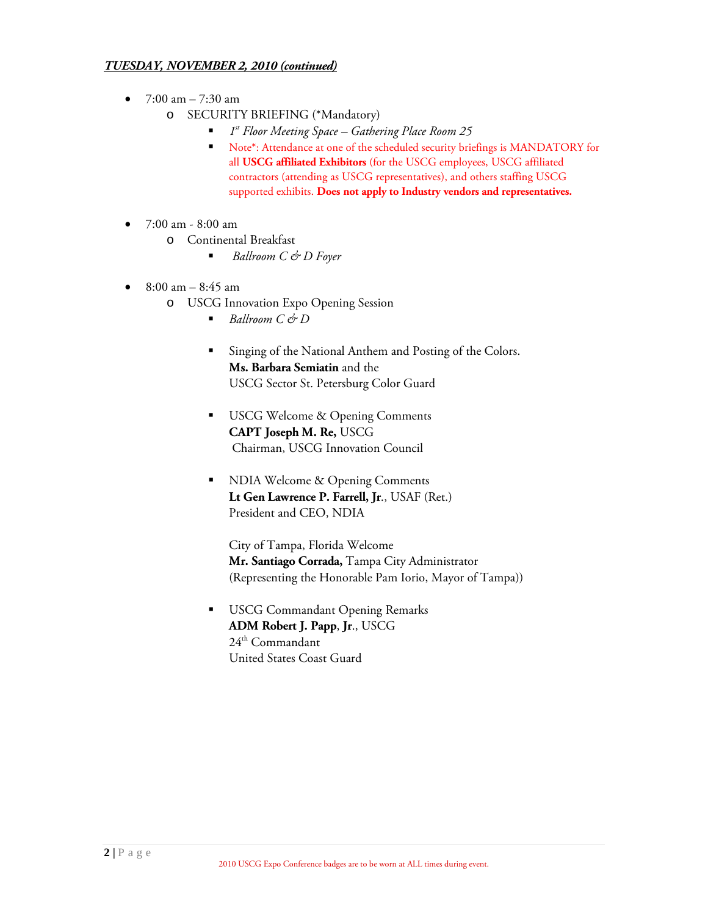#### *TUESDAY, NOVEMBER 2, 2010 (continued)*

- $7:00 \text{ am} 7:30 \text{ am}$ 
	- o SECURITY BRIEFING (\*Mandatory)
		- *1st Floor Meeting Space – Gathering Place Room 25*
			- Note\*: Attendance at one of the scheduled security briefings is MANDATORY for all **USCG affiliated Exhibitors** (for the USCG employees, USCG affiliated contractors (attending as USCG representatives), and others staffing USCG supported exhibits. **Does not apply to Industry vendors and representatives.**
- 7:00 am 8:00 am
	- o Continental Breakfast
		- *Ballroom C & D Foyer*
- $8:00 \text{ am} 8:45 \text{ am}$ 
	- o USCG Innovation Expo Opening Session
		- *Ballroom C* & *D*
		- **Singing of the National Anthem and Posting of the Colors. Ms. Barbara Semiatin** and the USCG Sector St. Petersburg Color Guard
		- USCG Welcome & Opening Comments **CAPT Joseph M. Re,** USCG Chairman, USCG Innovation Council
		- NDIA Welcome & Opening Comments **Lt Gen Lawrence P. Farrell, Jr**., USAF (Ret.) President and CEO, NDIA

City of Tampa, Florida Welcome **Mr. Santiago Corrada,** Tampa City Administrator (Representing the Honorable Pam Iorio, Mayor of Tampa))

**USCG Commandant Opening Remarks ADM Robert J. Papp**, **Jr**., USCG  $24<sup>th</sup>$  Commandant United States Coast Guard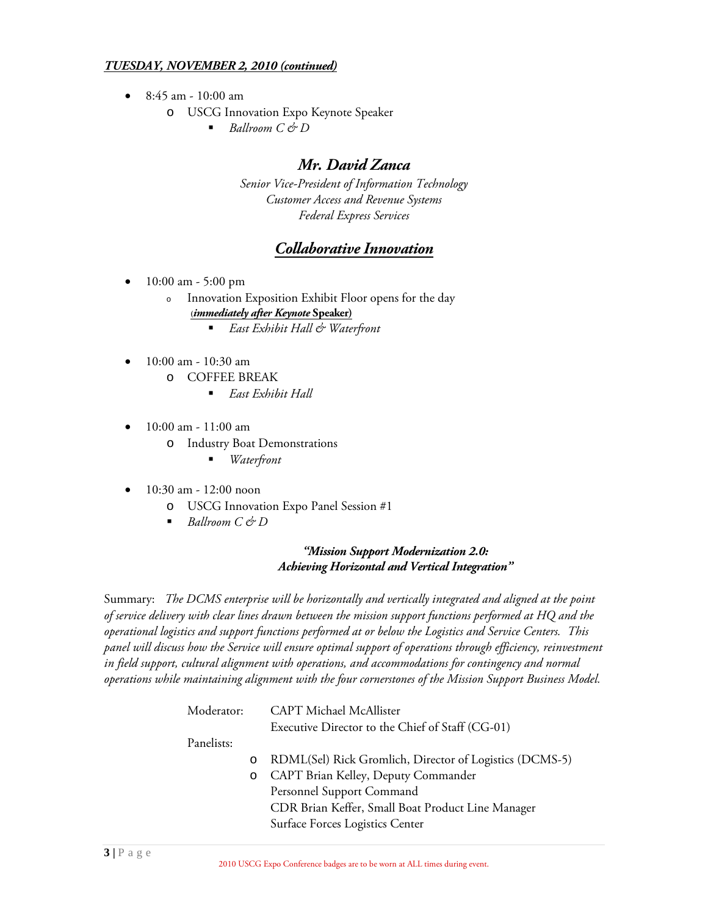#### *TUESDAY, NOVEMBER 2, 2010 (continued)*

- 8:45 am 10:00 am
	- o USCG Innovation Expo Keynote Speaker
		- *Ballroom C & D*

# *Mr. David Zanca*

*Senior Vice-President of Information Technology Customer Access and Revenue Systems Federal Express Services*

# *Collaborative Innovation*

- 10:00 am 5:00 pm
	- <sup>o</sup> Innovation Exposition Exhibit Floor opens for the day **(***immediately after Keynote* **Speaker)**
		- *East Exhibit Hall & Waterfront*
- 10:00 am 10:30 am
	- o COFFEE BREAK
		- *East Exhibit Hall*
- 10:00 am 11:00 am
	- o Industry Boat Demonstrations
		- *Waterfront*
- 10:30 am 12:00 noon
	- o USCG Innovation Expo Panel Session #1
	- *Ballroom C & D*

#### *"Mission Support Modernization 2.0: Achieving Horizontal and Vertical Integration"*

Summary: *The DCMS enterprise will be horizontally and vertically integrated and aligned at the point of service delivery with clear lines drawn between the mission support functions performed at HQ and the operational logistics and support functions performed at or below the Logistics and Service Centers. This panel will discuss how the Service will ensure optimal support of operations through efficiency, reinvestment in field support, cultural alignment with operations, and accommodations for contingency and normal operations while maintaining alignment with the four cornerstones of the Mission Support Business Model.*

| Moderator: |         | <b>CAPT Michael McAllister</b>                          |  |
|------------|---------|---------------------------------------------------------|--|
|            |         | Executive Director to the Chief of Staff (CG-01)        |  |
| Panelists: |         |                                                         |  |
|            | $\circ$ | RDML(Sel) Rick Gromlich, Director of Logistics (DCMS-5) |  |
|            |         | o CAPT Brian Kelley, Deputy Commander                   |  |
|            |         | Personnel Support Command                               |  |
|            |         | CDR Brian Keffer, Small Boat Product Line Manager       |  |
|            |         | Surface Forces Logistics Center                         |  |
|            |         |                                                         |  |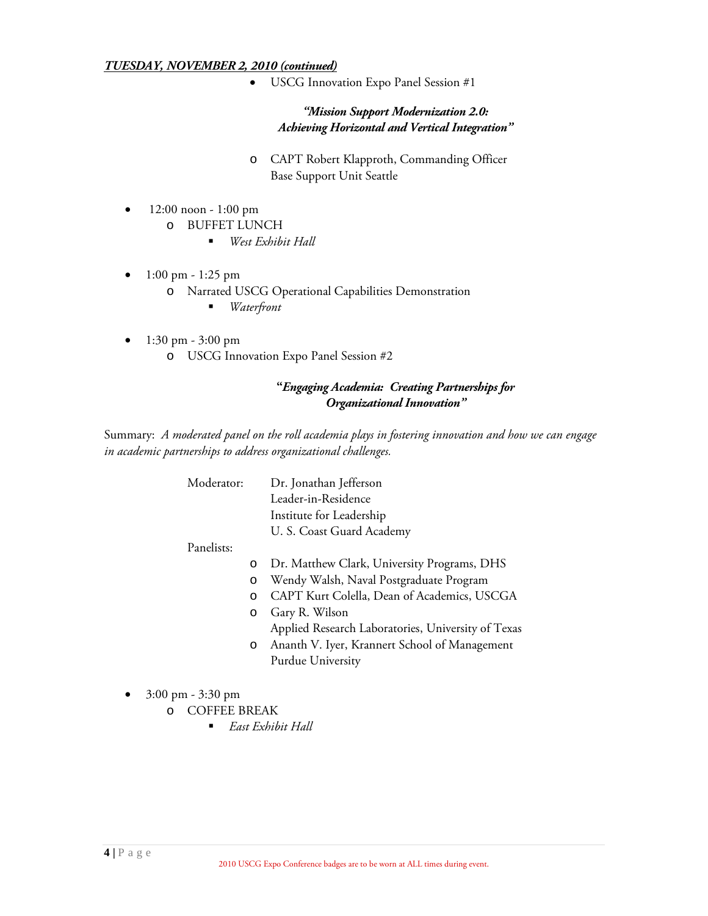#### *TUESDAY, NOVEMBER 2, 2010 (continued)*

• USCG Innovation Expo Panel Session #1

*"Mission Support Modernization 2.0: Achieving Horizontal and Vertical Integration"*

- o CAPT Robert Klapproth, Commanding Officer Base Support Unit Seattle
- 12:00 noon 1:00 pm
	- o BUFFET LUNCH
		- *West Exhibit Hall*
- 1:00 pm 1:25 pm
	- o Narrated USCG Operational Capabilities Demonstration
		- *Waterfront*
- $1:30 \text{ pm} 3:00 \text{ pm}$ o USCG Innovation Expo Panel Session #2

# **"***Engaging Academia: Creating Partnerships for Organizational Innovation"*

Summary: *A moderated panel on the roll academia plays in fostering innovation and how we can engage in academic partnerships to address organizational challenges.* 

Moderator: Dr. Jonathan Jefferson Leader-in-Residence Institute for Leadership U. S. Coast Guard Academy

Panelists:

- o Dr. Matthew Clark, University Programs, DHS
- o Wendy Walsh, Naval Postgraduate Program
- o CAPT Kurt Colella, Dean of Academics, USCGA
- o Gary R. Wilson Applied Research Laboratories, University of Texas o Ananth V. Iyer, Krannert School of Management
	- Purdue University
- 3:00 pm 3:30 pm
	- o COFFEE BREAK
		- *East Exhibit Hall*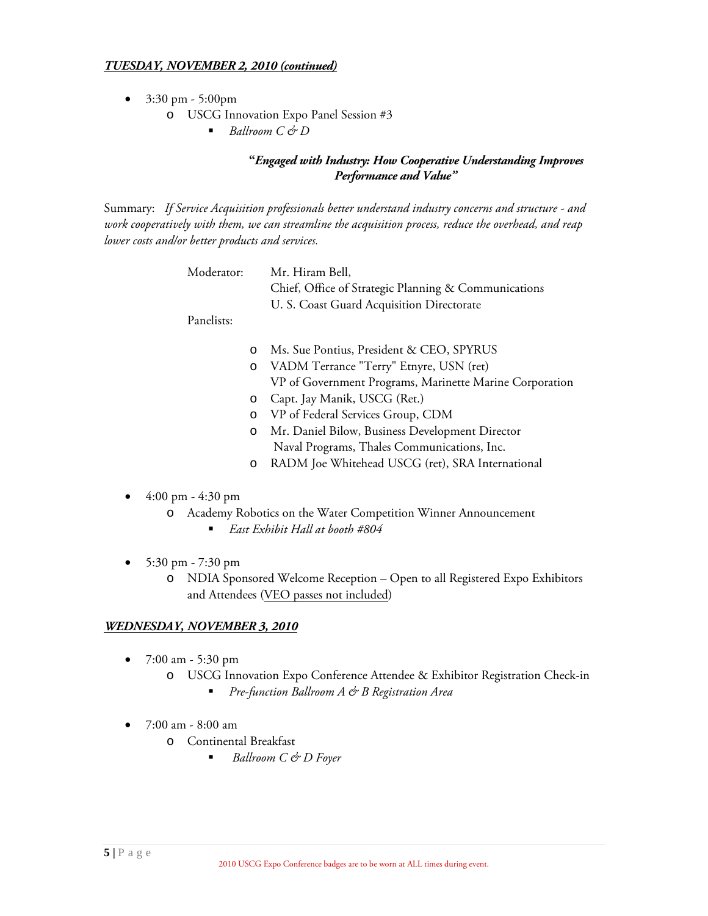- 3:30 pm 5:00pm
	- o USCG Innovation Expo Panel Session #3
		- *Ballroom C & D*

# **"***Engaged with Industry: How Cooperative Understanding Improves Performance and Value"*

Summary: *If Service Acquisition professionals better understand industry concerns and structure - and work cooperatively with them, we can streamline the acquisition process, reduce the overhead, and reap lower costs and/or better products and services.* 

| Moderator: | Mr. Hiram Bell,                                      |
|------------|------------------------------------------------------|
|            | Chief, Office of Strategic Planning & Communications |
|            | U. S. Coast Guard Acquisition Directorate            |
|            |                                                      |

Panelists:

- o Ms. Sue Pontius, President & CEO, SPYRUS
- o VADM Terrance "Terry" Etnyre, USN (ret) VP of Government Programs, Marinette Marine Corporation
- o Capt. Jay Manik, USCG (Ret.)
- o VP of Federal Services Group, CDM
- o Mr. Daniel Bilow, Business Development Director Naval Programs, Thales Communications, Inc.
- o RADM Joe Whitehead USCG (ret), SRA International
- 4:00 pm 4:30 pm
	- o Academy Robotics on the Water Competition Winner Announcement
		- *East Exhibit Hall at booth #804*
- 5:30 pm 7:30 pm
	- o NDIA Sponsored Welcome Reception Open to all Registered Expo Exhibitors and Attendees (VEO passes not included)

# *WEDNESDAY, NOVEMBER 3, 2010*

- 7:00 am 5:30 pm
	- o USCG Innovation Expo Conference Attendee & Exhibitor Registration Check-in
		- *Pre-function Ballroom A & B Registration Area*
- 7:00 am 8:00 am
	- o Continental Breakfast
		- *Ballroom C & D Foyer*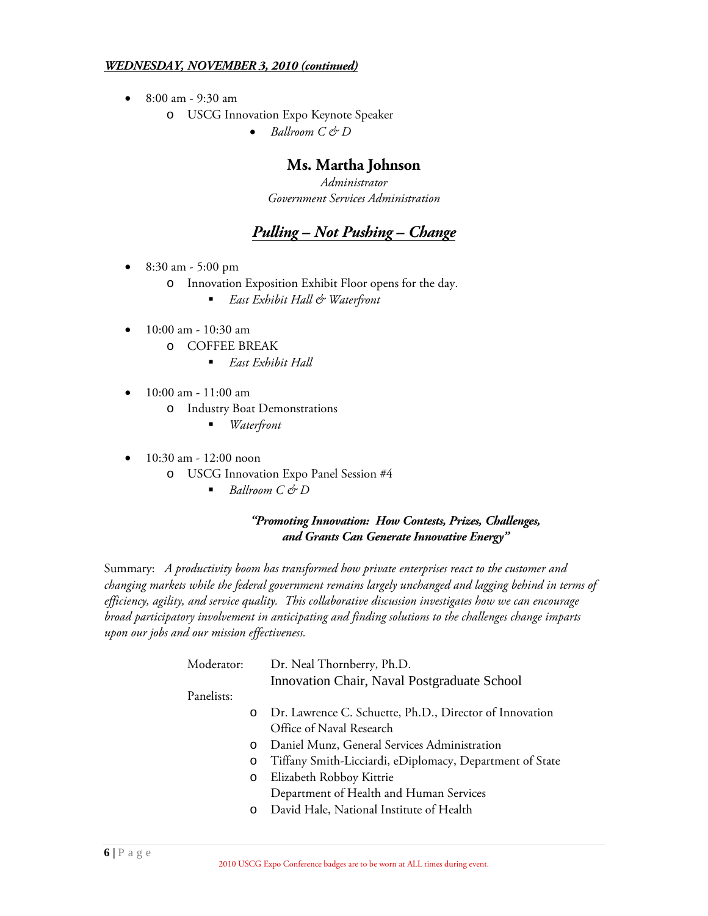#### *WEDNESDAY, NOVEMBER 3, 2010 (continued)*

- 8:00 am 9:30 am
	- o USCG Innovation Expo Keynote Speaker
		- *Ballroom C & D*

# **Ms. Martha Johnson**

*Administrator Government Services Administration*

# *Pulling – Not Pushing – Change*

- 8:30 am 5:00 pm
	- o Innovation Exposition Exhibit Floor opens for the day.
		- *East Exhibit Hall & Waterfront*
- 10:00 am 10:30 am
	- $\overline{O}$  COFFEE BREAK
		- *East Exhibit Hall*
- 10:00 am 11:00 am
	- o Industry Boat Demonstrations
		- *Waterfront*
- 10:30 am 12:00 noon
	- o USCG Innovation Expo Panel Session #4
		- *Ballroom*  $C$  & *D*

#### *"Promoting Innovation: How Contests, Prizes, Challenges, and Grants Can Generate Innovative Energy"*

Summary: *A productivity boom has transformed how private enterprises react to the customer and changing markets while the federal government remains largely unchanged and lagging behind in terms of efficiency, agility, and service quality. This collaborative discussion investigates how we can encourage broad participatory involvement in anticipating and finding solutions to the challenges change imparts upon our jobs and our mission effectiveness.* 

| Moderator: |         | Dr. Neal Thornberry, Ph.D.                               |  |
|------------|---------|----------------------------------------------------------|--|
|            |         | Innovation Chair, Naval Postgraduate School              |  |
| Panelists: |         |                                                          |  |
|            | $\circ$ | Dr. Lawrence C. Schuette, Ph.D., Director of Innovation  |  |
|            |         | Office of Naval Research                                 |  |
|            | $\circ$ | Daniel Munz, General Services Administration             |  |
|            | O       | Tiffany Smith-Licciardi, eDiplomacy, Department of State |  |
|            | $\circ$ | Elizabeth Robboy Kittrie                                 |  |
|            |         | Department of Health and Human Services                  |  |
|            | $\circ$ | David Hale, National Institute of Health                 |  |
|            |         |                                                          |  |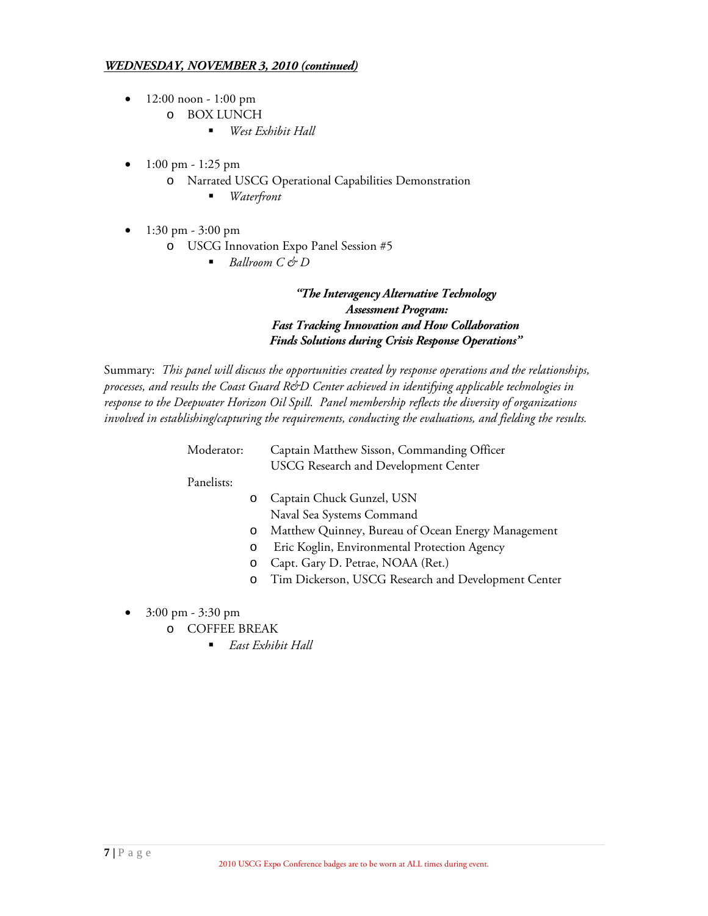#### *WEDNESDAY, NOVEMBER 3, 2010 (continued)*

- 12:00 noon 1:00 pm
	- o BOX LUNCH
		- *West Exhibit Hall*
- 1:00 pm 1:25 pm
	- o Narrated USCG Operational Capabilities Demonstration
		- *Waterfront*
- 1:30 pm 3:00 pm
	- o USCG Innovation Expo Panel Session #5
		- *Ballroom C & D*

# *"The Interagency Alternative Technology Assessment Program: Fast Tracking Innovation and How Collaboration Finds Solutions during Crisis Response Operations"*

Summary: *This panel will discuss the opportunities created by response operations and the relationships, processes, and results the Coast Guard R&D Center achieved in identifying applicable technologies in response to the Deepwater Horizon Oil Spill. Panel membership reflects the diversity of organizations involved in establishing/capturing the requirements, conducting the evaluations, and fielding the results.* 

| Moderator: | Captain Matthew Sisson, Commanding Officer |
|------------|--------------------------------------------|
|            | USCG Research and Development Center       |

Panelists:

- o Captain Chuck Gunzel, USN Naval Sea Systems Command
- o Matthew Quinney, Bureau of Ocean Energy Management
- o Eric Koglin, Environmental Protection Agency
- o Capt. Gary D. Petrae, NOAA (Ret.)
- o Tim Dickerson, USCG Research and Development Center
- 3:00 pm 3:30 pm
	- o COFFEE BREAK
		- *East Exhibit Hall*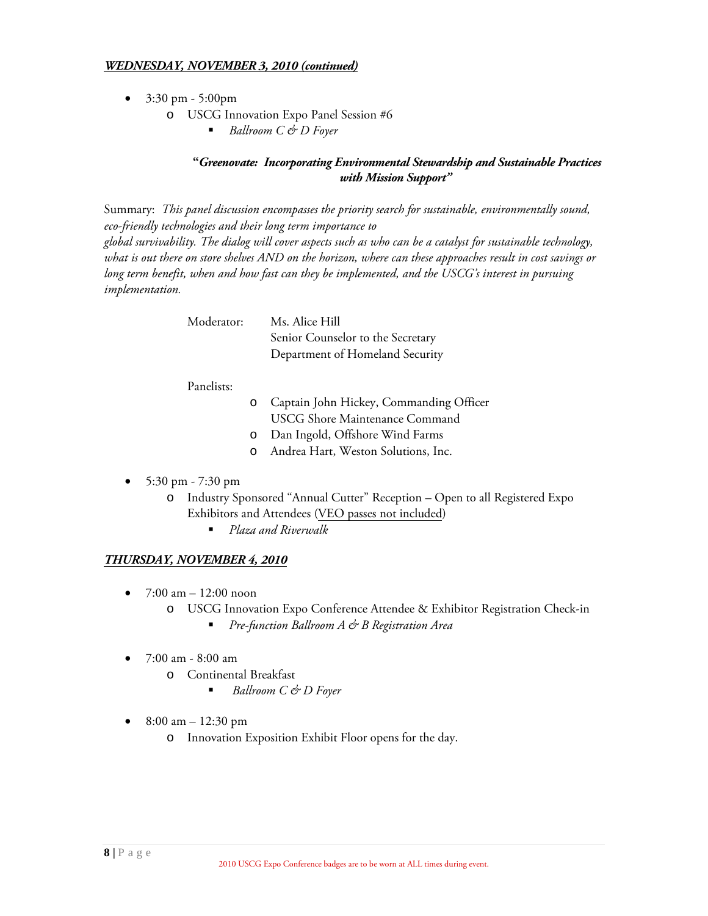#### *WEDNESDAY, NOVEMBER 3, 2010 (continued)*

- 3:30 pm 5:00pm
	- o USCG Innovation Expo Panel Session #6
		- *Ballroom C & D Foyer*

#### **"***Greenovate: Incorporating Environmental Stewardship and Sustainable Practices with Mission Support"*

Summary: *This panel discussion encompasses the priority search for sustainable, environmentally sound, eco-friendly technologies and their long term importance to* 

*global survivability. The dialog will cover aspects such as who can be a catalyst for sustainable technology, what is out there on store shelves AND on the horizon, where can these approaches result in cost savings or long term benefit, when and how fast can they be implemented, and the USCG's interest in pursuing implementation.* 

| Ms. Alice Hill                    |
|-----------------------------------|
| Senior Counselor to the Secretary |
| Department of Homeland Security   |
|                                   |

#### Panelists:

- o Captain John Hickey, Commanding Officer USCG Shore Maintenance Command
- o Dan Ingold, Offshore Wind Farms
- o Andrea Hart, Weston Solutions, Inc.
- 5:30 pm 7:30 pm
	- o Industry Sponsored "Annual Cutter" Reception Open to all Registered Expo Exhibitors and Attendees (VEO passes not included)
		- *Plaza and Riverwalk*

# *THURSDAY, NOVEMBER 4, 2010*

- $7:00 \text{ am} 12:00 \text{ noon}$ 
	- o USCG Innovation Expo Conference Attendee & Exhibitor Registration Check-in
		- *Pre-function Ballroom A & B Registration Area*
- 7:00 am 8:00 am
	- o Continental Breakfast
		- *Ballroom C & D Foyer*
- 8:00 am  $12:30 \text{ pm}$ 
	- o Innovation Exposition Exhibit Floor opens for the day.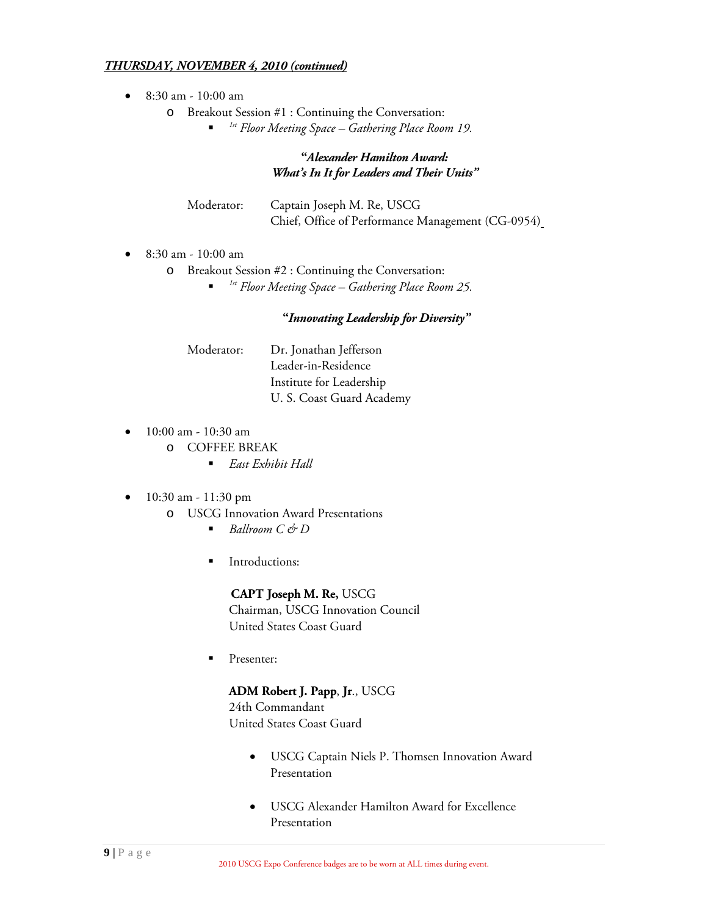#### *THURSDAY, NOVEMBER 4, 2010 (continued)*

- 8:30 am 10:00 am
	- o Breakout Session #1 : Continuing the Conversation:
		- *1st Floor Meeting Space – Gathering Place Room 19.*

# **"***Alexander Hamilton Award: What's In It for Leaders and Their Units"*

| Moderator: | Captain Joseph M. Re, USCG                        |
|------------|---------------------------------------------------|
|            | Chief, Office of Performance Management (CG-0954) |

- 8:30 am 10:00 am
	- o Breakout Session #2 : Continuing the Conversation:
		- *1st Floor Meeting Space – Gathering Place Room 25.*

#### **"***Innovating Leadership for Diversity"*

| Moderator: | Dr. Jonathan Jefferson    |
|------------|---------------------------|
|            | Leader-in-Residence       |
|            | Institute for Leadership  |
|            | U. S. Coast Guard Academy |

- 10:00 am 10:30 am
	- o COFFEE BREAK
		- *East Exhibit Hall*
- 10:30 am 11:30 pm
	- o USCG Innovation Award Presentations
		- *Ballroom C & D*
		- Introductions:

 **CAPT Joseph M. Re,** USCG Chairman, USCG Innovation Council United States Coast Guard

Presenter:

# **ADM Robert J. Papp**, **Jr**., USCG

24th Commandant United States Coast Guard

- USCG Captain Niels P. Thomsen Innovation Award Presentation
- USCG Alexander Hamilton Award for Excellence Presentation